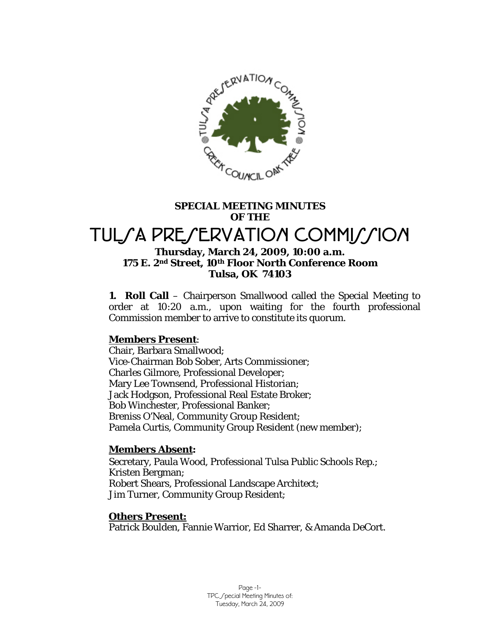

# **SPECIAL MEETING MINUTES OF THE**

# TULSA PRESERVATION COMMISSION

## **Thursday, March 24, 2009, 10:00 a.m. 175 E. 2nd Street, 10th Floor North Conference Room Tulsa, OK 74103**

**1. Roll Call** – Chairperson Smallwood called the Special Meeting to order at 10:20 a.m., upon waiting for the fourth professional Commission member to arrive to constitute its quorum.

# **Members Present**:

Chair, Barbara Smallwood; Vice-Chairman Bob Sober, Arts Commissioner; Charles Gilmore, Professional Developer; Mary Lee Townsend, Professional Historian; Jack Hodgson, Professional Real Estate Broker; Bob Winchester, Professional Banker; Breniss O'Neal, Community Group Resident; Pamela Curtis, Community Group Resident (new member);

# **Members Absent:**

Secretary, Paula Wood, Professional Tulsa Public Schools Rep.; Kristen Bergman; Robert Shears, Professional Landscape Architect; Jim Turner, Community Group Resident;

# **Others Present:**

Patrick Boulden, Fannie Warrior, Ed Sharrer, & Amanda DeCort.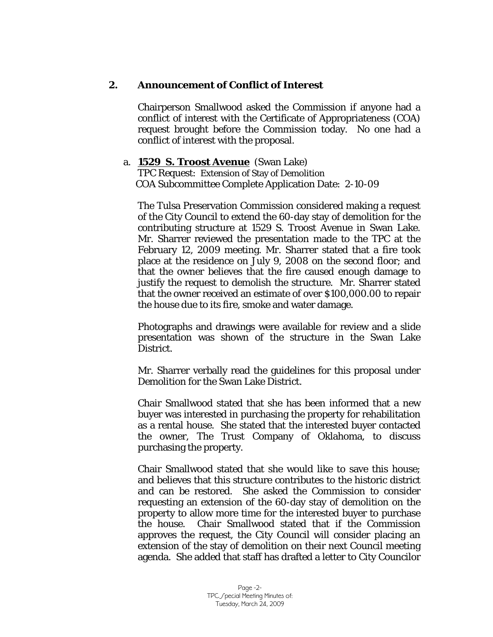# **2. Announcement of Conflict of Interest**

Chairperson Smallwood asked the Commission if anyone had a conflict of interest with the Certificate of Appropriateness (COA) request brought before the Commission today. No one had a conflict of interest with the proposal.

### a. **1529 S. Troost Avenue** (Swan Lake)

TPC Request: Extension of Stay of Demolition COA Subcommittee Complete Application Date: 2-10-09

The Tulsa Preservation Commission considered making a request of the City Council to extend the 60-day stay of demolition for the contributing structure at 1529 S. Troost Avenue in Swan Lake. Mr. Sharrer reviewed the presentation made to the TPC at the February 12, 2009 meeting. Mr. Sharrer stated that a fire took place at the residence on July 9, 2008 on the second floor; and that the owner believes that the fire caused enough damage to justify the request to demolish the structure. Mr. Sharrer stated that the owner received an estimate of over \$100,000.00 to repair the house due to its fire, smoke and water damage.

Photographs and drawings were available for review and a slide presentation was shown of the structure in the Swan Lake District.

Mr. Sharrer verbally read the guidelines for this proposal under *Demolition* for the Swan Lake District.

Chair Smallwood stated that she has been informed that a new buyer was interested in purchasing the property for rehabilitation as a rental house. She stated that the interested buyer contacted the owner, The Trust Company of Oklahoma, to discuss purchasing the property.

Chair Smallwood stated that she would like to save this house; and believes that this structure contributes to the historic district and can be restored. She asked the Commission to consider requesting an extension of the 60-day stay of demolition on the property to allow more time for the interested buyer to purchase the house. Chair Smallwood stated that if the Commission approves the request, the City Council will consider placing an extension of the stay of demolition on their next Council meeting agenda. She added that staff has drafted a letter to City Councilor